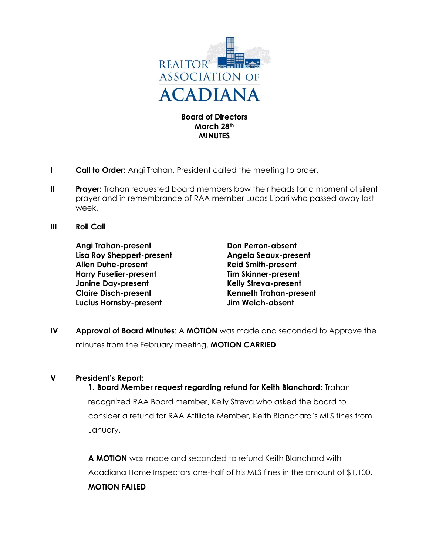

**Board of Directors March 28th MINUTES**

- **I Call to Order:** Angi Trahan, President called the meeting to order**.**
- **II** Prayer: Trahan requested board members bow their heads for a moment of silent prayer and in remembrance of RAA member Lucas Lipari who passed away last week.
- **III Roll Call**

**Angi Trahan-present Don Perron-absent Lisa Roy Sheppert-present Angela Seaux-present Allen Duhe-present Reid Smith-present Harry Fuselier-present Tim Skinner-present Janine Day-present Kelly Streva-present Claire Disch-present Kenneth Trahan-present Lucius Hornsby-present Jim Welch-absent**

**IV Approval of Board Minutes**: A **MOTION** was made and seconded to Approve the minutes from the February meeting. **MOTION CARRIED**

### **V President's Report:**

**1. Board Member request regarding refund for Keith Blanchard:** Trahan recognized RAA Board member, Kelly Streva who asked the board to consider a refund for RAA Affiliate Member, Keith Blanchard's MLS fines from January.

**A MOTION** was made and seconded to refund Keith Blanchard with Acadiana Home Inspectors one-half of his MLS fines in the amount of \$1,100**. MOTION FAILED**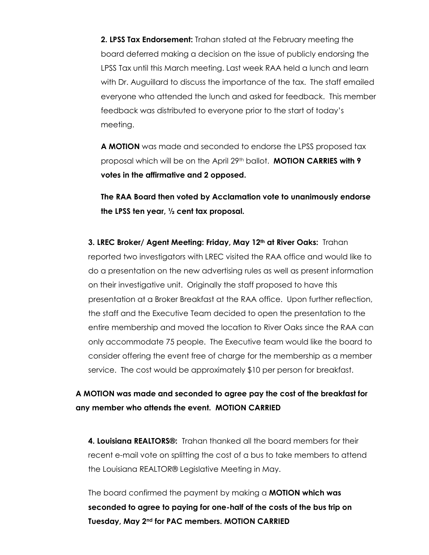**2. LPSS Tax Endorsement:** Trahan stated at the February meeting the board deferred making a decision on the issue of publicly endorsing the LPSS Tax until this March meeting. Last week RAA held a lunch and learn with Dr. Auguillard to discuss the importance of the tax. The staff emailed everyone who attended the lunch and asked for feedback. This member feedback was distributed to everyone prior to the start of today's meeting.

**A MOTION** was made and seconded to endorse the LPSS proposed tax proposal which will be on the April 29th ballot. **MOTION CARRIES with 9 votes in the affirmative and 2 opposed.**

**The RAA Board then voted by Acclamation vote to unanimously endorse the LPSS ten year, ½ cent tax proposal.** 

**3. LREC Broker/ Agent Meeting: Friday, May 12th at River Oaks:** Trahan reported two investigators with LREC visited the RAA office and would like to do a presentation on the new advertising rules as well as present information on their investigative unit. Originally the staff proposed to have this presentation at a Broker Breakfast at the RAA office. Upon further reflection, the staff and the Executive Team decided to open the presentation to the entire membership and moved the location to River Oaks since the RAA can only accommodate 75 people. The Executive team would like the board to consider offering the event free of charge for the membership as a member service. The cost would be approximately \$10 per person for breakfast.

### **A MOTION was made and seconded to agree pay the cost of the breakfast for any member who attends the event. MOTION CARRIED**

**4. Louisiana REALTORS®:** Trahan thanked all the board members for their recent e-mail vote on splitting the cost of a bus to take members to attend the Louisiana REALTOR® Legislative Meeting in May.

The board confirmed the payment by making a **MOTION which was seconded to agree to paying for one-half of the costs of the bus trip on Tuesday, May 2nd for PAC members. MOTION CARRIED**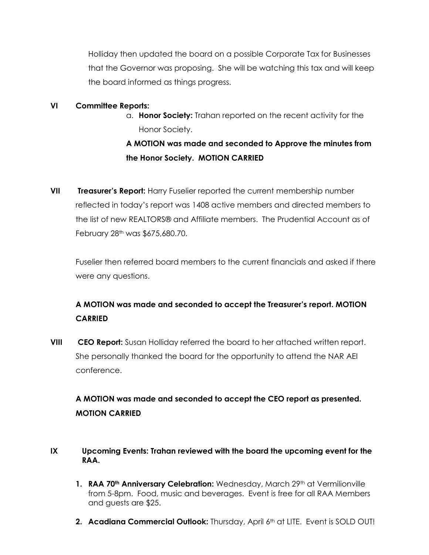Holliday then updated the board on a possible Corporate Tax for Businesses that the Governor was proposing. She will be watching this tax and will keep the board informed as things progress.

#### **VI Committee Reports:**

a. **Honor Society:** Trahan reported on the recent activity for the Honor Society.

# **A MOTION was made and seconded to Approve the minutes from the Honor Society. MOTION CARRIED**

**VII Treasurer's Report:** Harry Fuselier reported the current membership number reflected in today's report was 1408 active members and directed members to the list of new REALTORS® and Affiliate members. The Prudential Account as of February 28<sup>th</sup> was \$675,680.70.

Fuselier then referred board members to the current financials and asked if there were any questions.

### **A MOTION was made and seconded to accept the Treasurer's report. MOTION CARRIED**

**VIII CEO Report:** Susan Holliday referred the board to her attached written report. She personally thanked the board for the opportunity to attend the NAR AEI conference.

# **A MOTION was made and seconded to accept the CEO report as presented. MOTION CARRIED**

### **IX Upcoming Events: Trahan reviewed with the board the upcoming event for the RAA.**

- **1. RAA 70th Anniversary Celebration:** Wednesday, March 29th at Vermilionville from 5-8pm. Food, music and beverages. Event is free for all RAA Members and guests are \$25.
- **2. Acadiana Commercial Outlook:** Thursday, April 6<sup>th</sup> at LITE. Event is SOLD OUT!